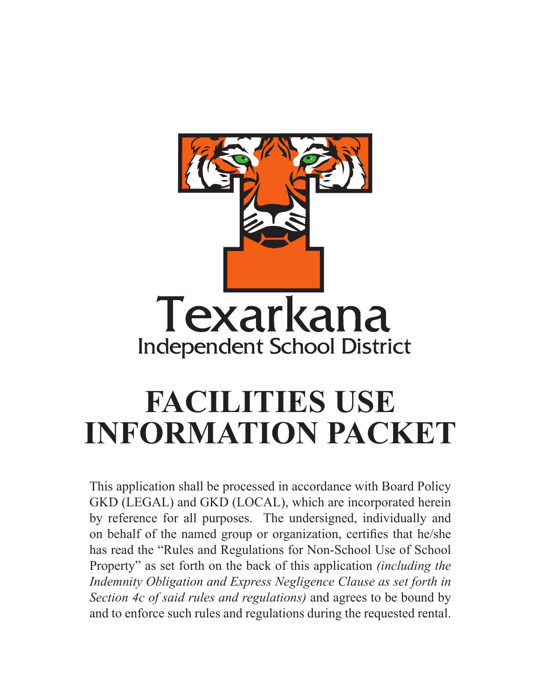

# **facilities use information packet**

This application shall be processed in accordance with Board Policy GKD (LEGAL) and GKD (LOCAL), which are incorporated herein by reference for all purposes. The undersigned, individually and on behalf of the named group or organization, certifies that he/she has read the "Rules and Regulations for Non-School Use of School Property" as set forth on the back of this application *(including the Indemnity Obligation and Express Negligence Clause as set forth in Section 4c of said rules and regulations)* and agrees to be bound by and to enforce such rules and regulations during the requested rental.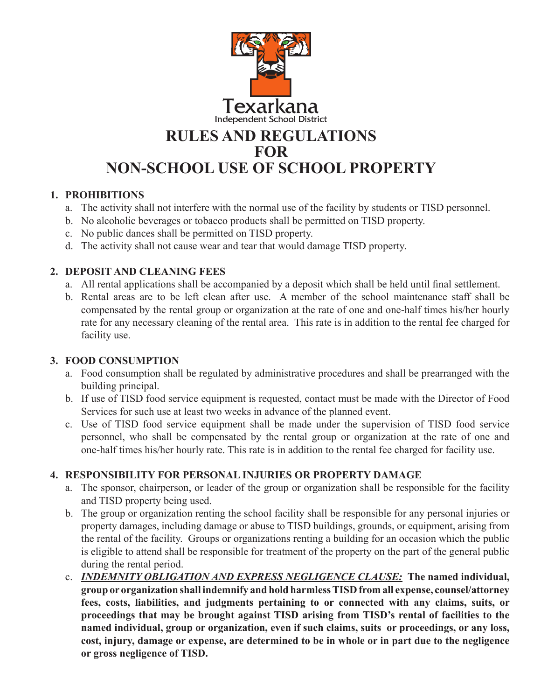

## **1. Prohibitions**

- a. The activity shall not interfere with the normal use of the facility by students or TISD personnel.
- b. No alcoholic beverages or tobacco products shall be permitted on TISD property.
- c. No public dances shall be permitted on TISD property.
- d. The activity shall not cause wear and tear that would damage TISD property.

# **2. Deposit and cleaning fees**

- a. All rental applications shall be accompanied by a deposit which shall be held until final settlement.
- b. Rental areas are to be left clean after use. A member of the school maintenance staff shall be compensated by the rental group or organization at the rate of one and one-half times his/her hourly rate for any necessary cleaning of the rental area. This rate is in addition to the rental fee charged for facility use.

# **3. Food consumption**

- a. Food consumption shall be regulated by administrative procedures and shall be prearranged with the building principal.
- b. If use of TISD food service equipment is requested, contact must be made with the Director of Food Services for such use at least two weeks in advance of the planned event.
- c. Use of TISD food service equipment shall be made under the supervision of TISD food service personnel, who shall be compensated by the rental group or organization at the rate of one and one-half times his/her hourly rate. This rate is in addition to the rental fee charged for facility use.

# **4. Responsibility for personal injuries or property damage**

- a. The sponsor, chairperson, or leader of the group or organization shall be responsible for the facility and TISD property being used.
- b. The group or organization renting the school facility shall be responsible for any personal injuries or property damages, including damage or abuse to TISD buildings, grounds, or equipment, arising from the rental of the facility. Groups or organizations renting a building for an occasion which the public is eligible to attend shall be responsible for treatment of the property on the part of the general public during the rental period.
- c. *Indemnity Obligation and Express Negligence Clause:* **The named individual, group or organization shall indemnify and hold harmless TISD from all expense, counsel/attorney fees, costs, liabilities, and judgments pertaining to or connected with any claims, suits, or proceedings that may be brought against TISD arising from TISD's rental of facilities to the named individual, group or organization, even if such claims, suits or proceedings, or any loss, cost, injury, damage or expense, are determined to be in whole or in part due to the negligence or gross negligence of TISD.**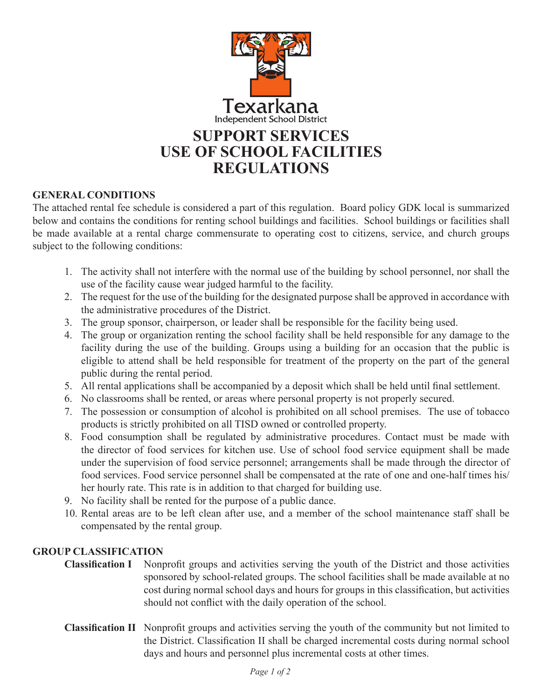

## **General Conditions**

The attached rental fee schedule is considered a part of this regulation. Board policy GDK local is summarized below and contains the conditions for renting school buildings and facilities. School buildings or facilities shall be made available at a rental charge commensurate to operating cost to citizens, service, and church groups subject to the following conditions:

- 1. The activity shall not interfere with the normal use of the building by school personnel, nor shall the use of the facility cause wear judged harmful to the facility.
- 2. The request for the use of the building for the designated purpose shall be approved in accordance with the administrative procedures of the District.
- 3. The group sponsor, chairperson, or leader shall be responsible for the facility being used.
- 4. The group or organization renting the school facility shall be held responsible for any damage to the facility during the use of the building. Groups using a building for an occasion that the public is eligible to attend shall be held responsible for treatment of the property on the part of the general public during the rental period.
- 5. All rental applications shall be accompanied by a deposit which shall be held until final settlement.
- 6. No classrooms shall be rented, or areas where personal property is not properly secured.
- 7. The possession or consumption of alcohol is prohibited on all school premises. The use of tobacco products is strictly prohibited on all TISD owned or controlled property.
- 8. Food consumption shall be regulated by administrative procedures. Contact must be made with the director of food services for kitchen use. Use of school food service equipment shall be made under the supervision of food service personnel; arrangements shall be made through the director of food services. Food service personnel shall be compensated at the rate of one and one-half times his/ her hourly rate. This rate is in addition to that charged for building use.
- 9. No facility shall be rented for the purpose of a public dance.
- 10. Rental areas are to be left clean after use, and a member of the school maintenance staff shall be compensated by the rental group.

#### **Group Classification**

- **Classification I** Nonprofit groups and activities serving the youth of the District and those activities sponsored by school-related groups. The school facilities shall be made available at no cost during normal school days and hours for groups in this classification, but activities should not conflict with the daily operation of the school.
- **Classification II** Nonprofit groups and activities serving the youth of the community but not limited to the District. Classification II shall be charged incremental costs during normal school days and hours and personnel plus incremental costs at other times.